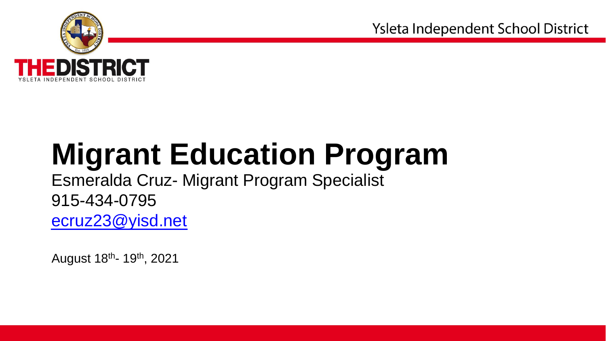

# **Migrant Education Program**

Esmeralda Cruz- Migrant Program Specialist 915-434-0795 [ecruz23@yisd.net](mailto:ecruz23@yisd.net)

August 18<sup>th</sup>- 19<sup>th</sup>, 2021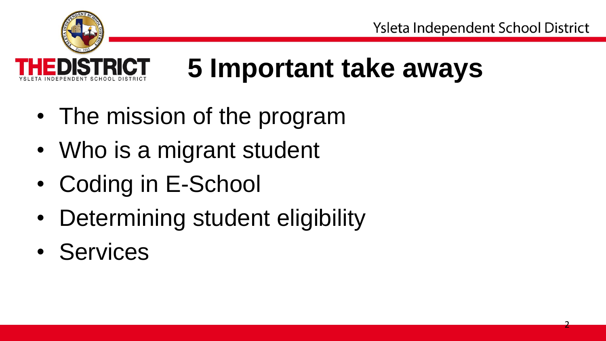

# **5 Important take aways**

- The mission of the program
- Who is a migrant student •
- Coding in E-School
- Determining student eligibility
- Services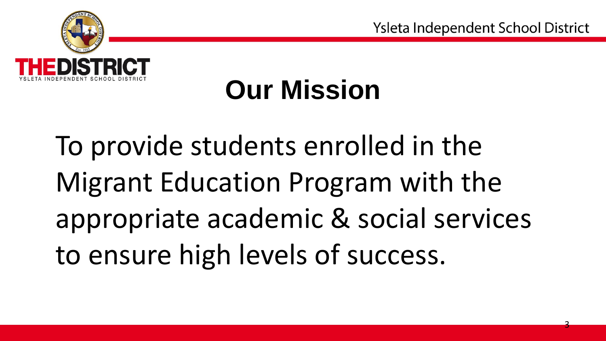

## **Our Mission**

To provide students enrolled in the Migrant Education Program with the appropriate academic & social services to ensure high levels of success.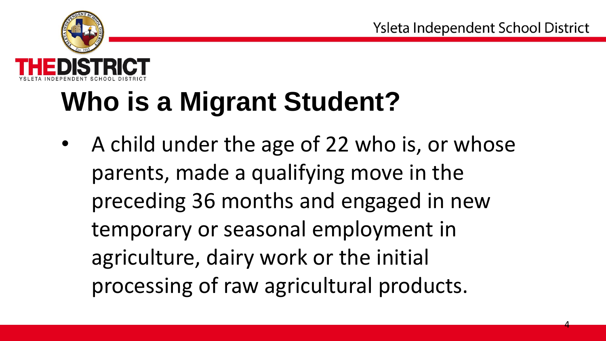

# **Who is a Migrant Student?**

• A child under the age of 22 who is, or whose parents, made a qualifying move in the preceding 36 months and engaged in new temporary or seasonal employment in agriculture, dairy work or the initial processing of raw agricultural products.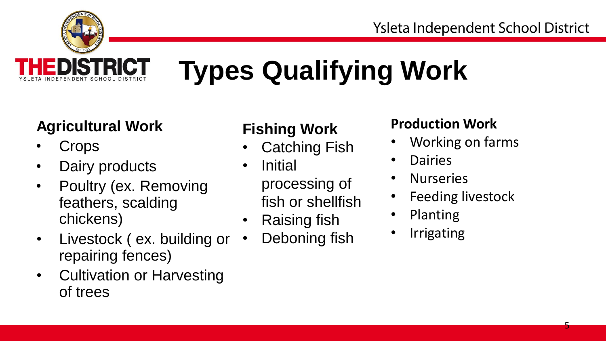

# **Types Qualifying Work**

### **Agricultural Work Fishing Work Production Work**

- 
- Dairy products Initial
- Poultry (ex. Removing processing of From From Terms and From Terms is the fish or shellfish the Feeding livestock feathers, scalding the policing fish the Planting school of the Policing fish the Planting school of the Policing fish the Planting school of th chickens) • Raising fish • Planting<br>Livesteek (ex. building ex. • Debening fish • Irrigating
- Livestock ( ex. building or Deboning fish repairing fences)
- Cultivation or Harvesting of trees

- **Crops** Catching Fish Working on farms
	-
	-
	-

- 
- 
- **Nurseries**
- 
- 
-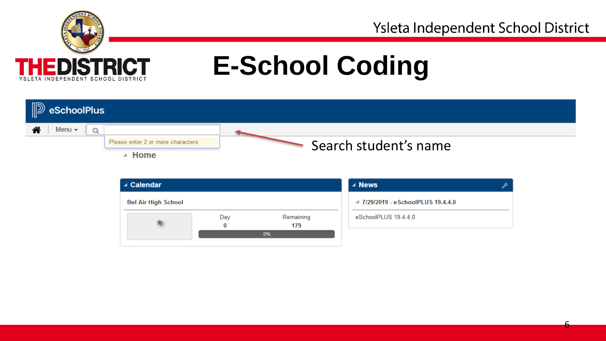

6

## **E-School Coding**

| $\mathbb{D}$ eSchoolPlus          |                       |
|-----------------------------------|-----------------------|
| Menu $\sim$                       |                       |
| Please enter 2 or more characters | Search student's name |
| <b>Home</b>                       |                       |

| ▲ Calendar                 |     |                  | ⊿ News                             |  |
|----------------------------|-----|------------------|------------------------------------|--|
| <b>Bel Air High School</b> |     |                  | △ 7/29/2019 - eSchoolPLUS 19.4.4.0 |  |
| ∗                          | Day | Remaining<br>179 | eSchoolPLUS 19.4.4.0               |  |
|                            |     | 0%               |                                    |  |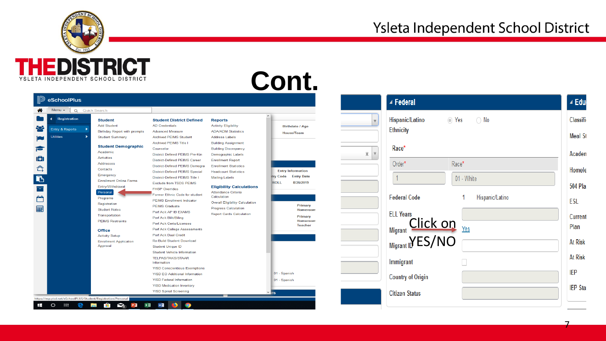

| <b>D</b> eSchoolPlus                                                              |                                                                                                                                                                                                                                                                                                                        |                                                                                                                                                                                                                                                                                                                                                                                                                                                                                                                                             |                                                                                                                                                                                                                                                                                                                             |                                                                                                                                                        |         | ⊿ Federal                                                             |                                        | ⊿ Edu                                                                                  |
|-----------------------------------------------------------------------------------|------------------------------------------------------------------------------------------------------------------------------------------------------------------------------------------------------------------------------------------------------------------------------------------------------------------------|---------------------------------------------------------------------------------------------------------------------------------------------------------------------------------------------------------------------------------------------------------------------------------------------------------------------------------------------------------------------------------------------------------------------------------------------------------------------------------------------------------------------------------------------|-----------------------------------------------------------------------------------------------------------------------------------------------------------------------------------------------------------------------------------------------------------------------------------------------------------------------------|--------------------------------------------------------------------------------------------------------------------------------------------------------|---------|-----------------------------------------------------------------------|----------------------------------------|----------------------------------------------------------------------------------------|
| Menu v Q Quick Search<br>Registration<br>٠<br>Entry & Reports<br><b>Utilities</b> | <b>Student</b><br><b>Add Student</b><br><b>Birthday Report with prompts</b><br><b>Student Summary</b><br><b>Student Demographic</b>                                                                                                                                                                                    | <b>Student District Defined</b><br><b>AD Credentials</b><br><b>Advanced Measure</b><br><b>Archived PEIMS Student</b><br><b>Archived PEIMS Title I</b><br>Counselor                                                                                                                                                                                                                                                                                                                                                                          | <b>Reports</b><br><b>Activity Eligibility</b><br><b>ADA/ADM Statistics</b><br><b>Address Labels</b><br><b>Building Assignment</b><br><b>Building Discrepancy</b>                                                                                                                                                            | <b>Birthdate / Age</b><br><b>House/Team</b>                                                                                                            |         | Hispanic/Latino<br><b>Ethnicity</b><br>Race*                          | ⊙ Yes ○ No                             | Classific<br><b>Meal St</b>                                                            |
|                                                                                   | Academic<br>Activities<br>Addresses<br>Contacts<br>Emergency<br><b>Enrollment Online Forms</b><br>Entry/Withdrawal<br>Personal<br>Programs<br>Registration<br><b>Student Notes</b><br>Transportation<br><b>PEIMS Restraints</b><br><b>Office</b><br><b>Activity Setup</b><br><b>Enrollment Application</b><br>Approval | <b>District Defined PEIMS Pre-Kin</b><br>District-Defined PEIMS Career<br>District-Defined PEIMS Demogra<br>District-Defined PEIMS Special<br>District-Defined PEIMS Title I<br><b>Exclude from TSDS PEIMS</b><br><b>FHSP Overrides</b><br>Former Ethnic Code for student<br><b>PEIMS Enrollment Indicator</b><br><b>PEIMS Graduate</b><br>Perf Ack AP IB EXAMS<br>Perf Ack Bilit/Biling<br>Perf Ack Certs/Licenses<br>Perf Ack College Assessments<br>Perf Ack Dual Credit<br><b>Re-Build Student Download</b><br><b>Student Unique ID</b> | Demographic Labels<br><b>Enrollment Report</b><br><b>Enrollment Statistics</b><br><b>Headcount Statistics</b><br><b>Mailing Labels</b><br><b>Eligibility Calculations</b><br>Attendance Criteria<br>Calculation<br><b>Overall Eligibility Calculation</b><br><b>Progress Calculation</b><br><b>Report Cards Calculation</b> | <b>Entry Information</b><br><b>itry Code</b><br><b>Entry Date</b><br><b>ROLL</b><br>8/26/2019<br>Primary<br>Homeroom<br>Primary<br>Homeroom<br>Teacher | $X$ $V$ | Order*<br><b>Federal Code</b><br><b>ELL Years</b><br>Migrant Click on | Race*<br>01 - White<br>Hispanic/Latino | Academ<br>Homele<br><b>504 Plan</b><br><b>ESL</b><br>Current<br>Plan<br><b>At Risk</b> |
|                                                                                   |                                                                                                                                                                                                                                                                                                                        | <b>Student Vehicle Information</b><br><b>TELPAS/TAKS/STAAR</b><br>Information<br><b>YISD Conscientious Exemptions</b><br><b>YISD EO Additional Information</b><br><b>YISD Federal Information</b><br><b>YISD Medication Inventory</b><br><b>YISD Spinal Screening</b>                                                                                                                                                                                                                                                                       | ٠                                                                                                                                                                                                                                                                                                                           | 01 - Spanish<br>01 - Spanish<br>$v_{\text{ITS}}$                                                                                                       |         | Immigrant<br><b>Country of Origin</b><br><b>Citizen Status</b>        |                                        | <b>At Risk</b><br><b>IEP</b><br><b>IEP Stat</b>                                        |

7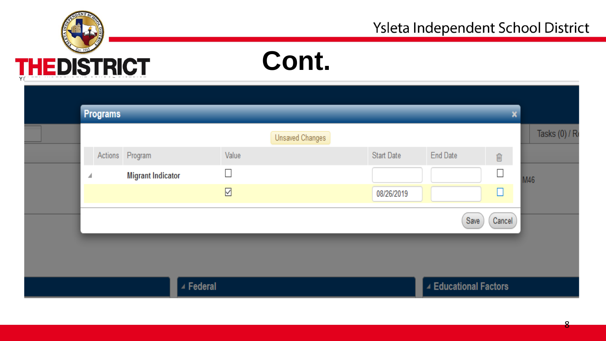

### **Cont.**

| Programs |                          |                    |                        |                   |                       | $\mathbf{x}$       |                |
|----------|--------------------------|--------------------|------------------------|-------------------|-----------------------|--------------------|----------------|
|          |                          |                    | <b>Unsaved Changes</b> |                   |                       |                    | Tasks (0) / Re |
|          | Actions Program          | Value              |                        | <b>Start Date</b> | <b>End Date</b>       | $\hat{\mathbb{m}}$ |                |
| ◢        | <b>Migrant Indicator</b> | $\Box$             |                        |                   |                       | $\Box$             | M46            |
|          |                          | $\boxed{\text{c}}$ |                        | 08/26/2019        |                       | □                  |                |
|          |                          |                    |                        |                   | Save                  | Cancel             |                |
|          |                          |                    |                        |                   |                       |                    |                |
|          |                          |                    |                        |                   |                       |                    |                |
|          |                          |                    |                        |                   |                       |                    |                |
|          | ▲ Federal                |                    |                        |                   | ▲ Educational Factors |                    |                |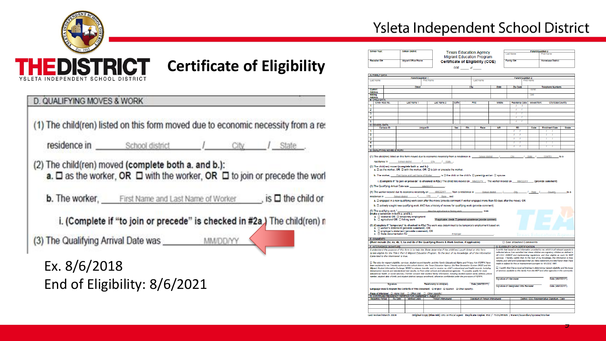

### **Certificate of Eligibility**

|                                                        | <b>residence in</b> School district / City / State                                         |  |                                                                            |
|--------------------------------------------------------|--------------------------------------------------------------------------------------------|--|----------------------------------------------------------------------------|
|                                                        |                                                                                            |  |                                                                            |
| (2) The child(ren) moved (complete both a. and b.):    |                                                                                            |  |                                                                            |
|                                                        |                                                                                            |  | a. □ as the worker, OR □ with the worker, OR □ to join or precede the worl |
|                                                        |                                                                                            |  |                                                                            |
|                                                        |                                                                                            |  |                                                                            |
|                                                        | <b>b.</b> The worker, First Name and Last Name of Worker $\qquad$ , is $\Box$ the child or |  |                                                                            |
|                                                        |                                                                                            |  |                                                                            |
|                                                        | i. (Complete if "to join or precede" is checked in #2a) The child(ren) n                   |  |                                                                            |
| (3) The Qualifying Arrival Date was _________ MM/DD/YY |                                                                                            |  |                                                                            |

### Ysleta Independent School District

|                           | School Year:          |                                       | <b>School District:</b>                                                                                                         |                   |                                                                                                                                                                                                                                                                          |        |            | <b>Texas Education Agency</b>    |       |                                                                                                                  |                            | Parent/Guardian 2                                                                                                                                                                        |       |
|---------------------------|-----------------------|---------------------------------------|---------------------------------------------------------------------------------------------------------------------------------|-------------------|--------------------------------------------------------------------------------------------------------------------------------------------------------------------------------------------------------------------------------------------------------------------------|--------|------------|----------------------------------|-------|------------------------------------------------------------------------------------------------------------------|----------------------------|------------------------------------------------------------------------------------------------------------------------------------------------------------------------------------------|-------|
|                           |                       |                                       |                                                                                                                                 |                   |                                                                                                                                                                                                                                                                          |        |            | <b>Migrant Education Program</b> |       | 1 ast Name                                                                                                       |                            | <b>First Name</b>                                                                                                                                                                        |       |
|                           | <b>Recruiter ID#:</b> |                                       | Migrant Office Phone:                                                                                                           |                   |                                                                                                                                                                                                                                                                          |        |            | Certificate of Eligibility (COE) |       | Family ID#                                                                                                       |                            | Homebase District                                                                                                                                                                        |       |
|                           |                       |                                       |                                                                                                                                 |                   |                                                                                                                                                                                                                                                                          |        | COE of any |                                  |       |                                                                                                                  |                            |                                                                                                                                                                                          |       |
|                           |                       |                                       |                                                                                                                                 |                   |                                                                                                                                                                                                                                                                          |        |            |                                  |       |                                                                                                                  |                            |                                                                                                                                                                                          |       |
|                           | A FAMILY DATA         |                                       |                                                                                                                                 | Parent/Guardian 1 |                                                                                                                                                                                                                                                                          |        |            |                                  |       |                                                                                                                  | Parent Guardian 2          |                                                                                                                                                                                          |       |
|                           | <b>Last Name</b>      |                                       |                                                                                                                                 |                   |                                                                                                                                                                                                                                                                          |        |            | Last Name                        |       |                                                                                                                  |                            |                                                                                                                                                                                          |       |
|                           |                       |                                       |                                                                                                                                 | <b>Street</b>     |                                                                                                                                                                                                                                                                          |        | Civ        |                                  | State | Zip Code                                                                                                         |                            | Telephone Numbers                                                                                                                                                                        |       |
| Current<br>Address        |                       |                                       |                                                                                                                                 |                   |                                                                                                                                                                                                                                                                          |        |            |                                  |       |                                                                                                                  | Home:                      |                                                                                                                                                                                          |       |
| Malling<br><b>Address</b> |                       |                                       |                                                                                                                                 |                   |                                                                                                                                                                                                                                                                          |        |            |                                  |       |                                                                                                                  | Cell                       |                                                                                                                                                                                          |       |
|                           | <b>B. CHILD DATA</b>  |                                       |                                                                                                                                 |                   |                                                                                                                                                                                                                                                                          |        |            |                                  |       |                                                                                                                  |                            |                                                                                                                                                                                          |       |
| Ŧ                         | Child-NGS No.         |                                       | <b>Last Name 1</b>                                                                                                              |                   | Last Name 2                                                                                                                                                                                                                                                              | Siffly | First      |                                  | Motte |                                                                                                                  | Residency Date Moved from: | City/State/Country                                                                                                                                                                       |       |
| $\overline{2}$            |                       |                                       |                                                                                                                                 |                   |                                                                                                                                                                                                                                                                          |        |            |                                  |       | ÷                                                                                                                |                            |                                                                                                                                                                                          |       |
| 3                         |                       |                                       |                                                                                                                                 |                   |                                                                                                                                                                                                                                                                          |        |            |                                  |       | T                                                                                                                |                            |                                                                                                                                                                                          |       |
| 4                         |                       |                                       |                                                                                                                                 |                   |                                                                                                                                                                                                                                                                          |        |            |                                  |       |                                                                                                                  |                            |                                                                                                                                                                                          |       |
| 5                         |                       |                                       |                                                                                                                                 |                   |                                                                                                                                                                                                                                                                          |        |            |                                  |       | 7                                                                                                                |                            |                                                                                                                                                                                          |       |
|                           | C. SCHOOL DATA        | Campus ID                             |                                                                                                                                 | Unique ID         |                                                                                                                                                                                                                                                                          | Sex    | Eth.       | Race                             | MR    | BD                                                                                                               | Code                       | <b>Enrolment Date</b>                                                                                                                                                                    | Grade |
| ٦                         |                       |                                       |                                                                                                                                 |                   |                                                                                                                                                                                                                                                                          |        |            |                                  |       |                                                                                                                  |                            |                                                                                                                                                                                          |       |
| $\overline{2}$            |                       |                                       |                                                                                                                                 |                   |                                                                                                                                                                                                                                                                          |        |            |                                  |       |                                                                                                                  |                            |                                                                                                                                                                                          |       |
| 3                         |                       |                                       |                                                                                                                                 |                   |                                                                                                                                                                                                                                                                          |        |            |                                  |       |                                                                                                                  |                            | Ť                                                                                                                                                                                        |       |
| 4<br>3                    |                       |                                       |                                                                                                                                 |                   |                                                                                                                                                                                                                                                                          |        |            |                                  |       |                                                                                                                  |                            |                                                                                                                                                                                          |       |
|                           |                       | D. QUALIFYING MOVES & WORK            |                                                                                                                                 |                   |                                                                                                                                                                                                                                                                          |        |            |                                  |       |                                                                                                                  |                            |                                                                                                                                                                                          |       |
|                           |                       |                                       |                                                                                                                                 |                   |                                                                                                                                                                                                                                                                          |        |            |                                  |       |                                                                                                                  |                            |                                                                                                                                                                                          |       |
|                           |                       |                                       |                                                                                                                                 |                   | (1) The child(ren) listed on this form moved due to economic necessity from a residence in School district /                                                                                                                                                             |        |            |                                  |       | City                                                                                                             | $I$ State $I$              | Country                                                                                                                                                                                  | to a  |
|                           | residence in          |                                       | School district                                                                                                                 | $\mathcal{L}$     | City / State                                                                                                                                                                                                                                                             |        |            |                                  |       |                                                                                                                  |                            |                                                                                                                                                                                          |       |
|                           |                       |                                       | (2) The child(ren) moved (complete both a, and b.):                                                                             |                   |                                                                                                                                                                                                                                                                          |        |            |                                  |       |                                                                                                                  |                            |                                                                                                                                                                                          |       |
|                           |                       |                                       |                                                                                                                                 |                   | a. $\square$ as the worker, OR $\square$ with the worker, OR $\square$ to join or precede the worker.                                                                                                                                                                    |        |            |                                  |       |                                                                                                                  |                            |                                                                                                                                                                                          |       |
|                           |                       |                                       |                                                                                                                                 |                   | b. The worker, First Name and Last Name of Worker [5] is $\square$ the child or the child's $\square$ parent/guardian $\square$ spouse.                                                                                                                                  |        |            |                                  |       |                                                                                                                  |                            |                                                                                                                                                                                          |       |
|                           |                       |                                       |                                                                                                                                 |                   |                                                                                                                                                                                                                                                                          |        |            |                                  |       |                                                                                                                  |                            |                                                                                                                                                                                          |       |
|                           |                       |                                       |                                                                                                                                 |                   | i. (Complete if "to join or precede" is checked in #2a.) The child(ren) moved on __MAIDOYY __ The worker moved on ___MAIDOYY ____. (provide comment)                                                                                                                     |        |            |                                  |       |                                                                                                                  |                            |                                                                                                                                                                                          |       |
|                           |                       |                                       | (3) The Qualifying Arrival Date was ________ MMOD/YY                                                                            |                   |                                                                                                                                                                                                                                                                          |        |            |                                  |       |                                                                                                                  |                            |                                                                                                                                                                                          |       |
|                           |                       |                                       |                                                                                                                                 |                   | (4) The worker moved due to economic necessity on ____ MM/DD/YY_____, from a residence in _____ School district _____ /______ City ______ / _State _ /___                                                                                                                |        |            |                                  |       |                                                                                                                  |                            | Country                                                                                                                                                                                  | to a  |
|                           |                       |                                       |                                                                                                                                 |                   | residence in School district / City / State and                                                                                                                                                                                                                          |        |            |                                  |       |                                                                                                                  |                            |                                                                                                                                                                                          |       |
|                           |                       |                                       |                                                                                                                                 |                   | a. El engaged in a new qualifying work soon after the move (provide comment if worker engaged more than 60 days after the move), OR                                                                                                                                      |        |            |                                  |       |                                                                                                                  |                            |                                                                                                                                                                                          |       |
|                           |                       |                                       |                                                                                                                                 |                   | b. El actively sought new qualifying work AND has a history of moves for qualifying work (provide comment)                                                                                                                                                               |        |            |                                  |       |                                                                                                                  |                            |                                                                                                                                                                                          |       |
|                           |                       | (5) The qualifying work,"             |                                                                                                                                 |                   | describe agricultural or fishing work                                                                                                                                                                                                                                    |        |            |                                  |       |                                                                                                                  |                            |                                                                                                                                                                                          |       |
|                           |                       |                                       | (make a selection in both a. and b.):                                                                                           |                   |                                                                                                                                                                                                                                                                          |        |            |                                  |       |                                                                                                                  |                            |                                                                                                                                                                                          |       |
|                           |                       |                                       | a. $\square$ seasonal OR $\square$ temporary employment<br>b. $\square$ agricultural OR $\square$ fishing work                  |                   | "If applicable, check: [ personal subsistence (provide comment)                                                                                                                                                                                                          |        |            |                                  |       |                                                                                                                  |                            |                                                                                                                                                                                          |       |
|                           |                       |                                       |                                                                                                                                 |                   |                                                                                                                                                                                                                                                                          |        |            |                                  |       |                                                                                                                  |                            |                                                                                                                                                                                          |       |
|                           |                       |                                       | a. O worker's statement (provide comment), OR                                                                                   |                   | (6) (Complete if "temporary" is checked in #5a) The work was determined to be temporary employment based on:                                                                                                                                                             |        |            |                                  |       |                                                                                                                  |                            |                                                                                                                                                                                          |       |
|                           |                       |                                       | b. $\square$ employer's statement (provide comment), OR                                                                         |                   |                                                                                                                                                                                                                                                                          |        |            |                                  |       |                                                                                                                  |                            |                                                                                                                                                                                          |       |
|                           |                       | c. C State documentation for          |                                                                                                                                 |                   |                                                                                                                                                                                                                                                                          |        |            |                                  |       |                                                                                                                  |                            | <b>Jexas Education Agenc</b>                                                                                                                                                             |       |
|                           | <b>E. COMMENTS</b>    |                                       |                                                                                                                                 |                   |                                                                                                                                                                                                                                                                          |        |            |                                  |       |                                                                                                                  |                            |                                                                                                                                                                                          |       |
|                           |                       |                                       |                                                                                                                                 |                   | (Must include 2bi, 4a, 4b, 5, 6a and 6b of the Qualifying Moves & Work Section, if applicable)                                                                                                                                                                           |        |            |                                  |       | □ See attached Comments                                                                                          |                            |                                                                                                                                                                                          |       |
|                           |                       | F. INTERVIEWEE SIGNATURE              |                                                                                                                                 |                   | I understand the purpose of this form is to help the State determine if the child(ren)/youth listed on this form                                                                                                                                                         |        |            |                                  |       | <b>G. ELIGIBILITY DATA CERTIFICATION</b>                                                                         |                            | I certify that based on the information provided to me, which in all relevant aspects is                                                                                                 |       |
|                           |                       |                                       |                                                                                                                                 |                   | is/are eligible for the Title I. Part C Migrant Education Program. To the best of my knowledge, all of the information                                                                                                                                                   |        |            |                                  |       |                                                                                                                  |                            | reflected above. I am astisfied that these children are migratory children as defined in                                                                                                 |       |
|                           |                       | Larguided to the interviewer is true. |                                                                                                                                 |                   |                                                                                                                                                                                                                                                                          |        |            |                                  |       |                                                                                                                  |                            | 20 U.S.C. 6399(2) and implementing regulations, and thus eligible as such for MEP<br>services. I hereby certify that, to the bast of my knowledge, the information is true.              |       |
|                           |                       |                                       |                                                                                                                                 |                   | □ The rules for migrant eligibility, services, student record transfer, and the Family Educational Rights and Privacy Act (FERPA) have                                                                                                                                   |        |            |                                  |       |                                                                                                                  |                            | reliable, and valid and I understand that any false statement provided herein that I have                                                                                                |       |
|                           |                       |                                       |                                                                                                                                 |                   | been explained to me. I hereby authorize this school district, the Texas Education Agency, the New Generation System (NGS) and the                                                                                                                                       |        |            |                                  |       | made is subject to fine or imprisonment pursuant to 18 U.S.C. 1001.                                              |                            |                                                                                                                                                                                          |       |
|                           |                       |                                       |                                                                                                                                 |                   | Migrant Student Information Exchange (MSD) to release, transfer, and/or receive my child's educational and health records, including<br>immunization records and standardized test results, to/from other schools and educational agencies. To possibly qualify for more |        |            |                                  |       |                                                                                                                  |                            | $\Box$ I certify that I have received training in determining migrant eligibility and the types<br>of services available to this family from the MEP and other agencies in the community |       |
|                           |                       |                                       |                                                                                                                                 |                   | educational, health, or social services, I further consent that student/family information, including student/parent rame, address, phone                                                                                                                                |        |            |                                  |       |                                                                                                                  |                            |                                                                                                                                                                                          |       |
|                           |                       |                                       |                                                                                                                                 |                   | number, student date of birth, and student district/campus enrollment, otherwise confidential under the provisions of FERPA.                                                                                                                                             |        |            |                                  |       | Signature of Interviewer                                                                                         |                            | Date (MM/DD/YY)                                                                                                                                                                          |       |
|                           |                       | Signature                             |                                                                                                                                 |                   | Relationship to child(ren)                                                                                                                                                                                                                                               |        |            | Date (MM/DD/YY)                  |       |                                                                                                                  |                            |                                                                                                                                                                                          |       |
|                           |                       |                                       |                                                                                                                                 |                   | Language Used to Explain the Contents of This Document: [ English [ ] Spanish [ ] Other (specify):                                                                                                                                                                       |        |            |                                  |       | Signature of Designated SEA Reviewer                                                                             |                            | Date (MMODYY)                                                                                                                                                                            |       |
|                           |                       |                                       |                                                                                                                                 |                   |                                                                                                                                                                                                                                                                          |        |            |                                  |       |                                                                                                                  |                            |                                                                                                                                                                                          |       |
|                           |                       |                                       | Place of Interview: □ Home Vist □ Office Vist □ Other (specify)<br>H. CONTINUED RESIDENCY VERIFICATION (September 1- August 31) |                   |                                                                                                                                                                                                                                                                          |        |            |                                  |       |                                                                                                                  |                            |                                                                                                                                                                                          |       |
|                           |                       |                                       | Reporting Period RV Date Method Used                                                                                            |                   | Person Interviewed                                                                                                                                                                                                                                                       |        |            | Signature of Person Interviewed  |       |                                                                                                                  |                            | District / ESC Representative Signature / Date                                                                                                                                           |       |
|                           |                       |                                       |                                                                                                                                 |                   |                                                                                                                                                                                                                                                                          |        |            |                                  |       |                                                                                                                  |                            |                                                                                                                                                                                          |       |
|                           |                       |                                       |                                                                                                                                 |                   |                                                                                                                                                                                                                                                                          |        |            |                                  |       |                                                                                                                  |                            |                                                                                                                                                                                          |       |
|                           |                       |                                       |                                                                                                                                 |                   |                                                                                                                                                                                                                                                                          |        |            |                                  |       | Original Copy (Blue Ink); LEA or Fiscal Agent Duplicate Copies: ESC / TSDS/PEIMS / Parent/Guardian/Spouse/Worker |                            |                                                                                                                                                                                          |       |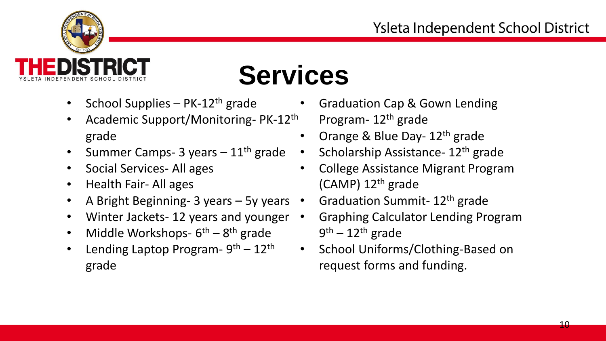

**Services** 

- 
- Academic Support/Monitoring- PK-12<sup>th</sup> Program- 12<sup>th</sup> grade grade **• Orange & Blue Day-12<sup>th</sup> grade** •
- Summer Camps- 3 years  $-11^{th}$  grade Scholarship Assistance-  $12^{th}$  grade •
- $\bullet$
- •
- A Bright Beginning- 3 years 5y years Graduation Summit-  $12<sup>th</sup>$  grade  $\bullet$
- •
- Middle Workshops- $6<sup>th</sup> 8<sup>th</sup>$  grade  $\bullet$
- grade **request forms and funding.** •
- School Supplies PK-12<sup>th</sup> grade Graduation Cap & Gown Lending
	-
	-
- Social Services- All ages College Assistance Migrant Program Health Fair- All ages (CAMP) 12<sup>th</sup> grade
	-
- Winter Jackets- 12 years and younger Graphing Calculator Lending Program  $9<sup>th</sup> - 12<sup>th</sup>$  grade
- Lending Laptop Program-  $9<sup>th</sup> 12<sup>th</sup>$  School Uniforms/Clothing-Based on